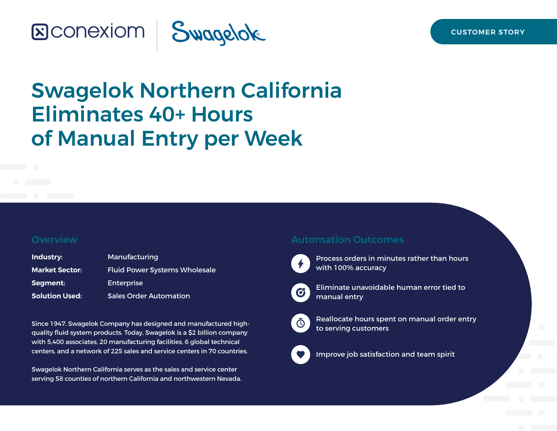# **SCONEXIOM | Swagelok**

# Swagelok Northern California Eliminates 40+ Hours of Manual Entry per Week

### **Overview**

| Industry:             | Manufacturing                        |
|-----------------------|--------------------------------------|
| <b>Market Sector:</b> | <b>Fluid Power Systems Wholesale</b> |
| Segment:              | Enterprise                           |
| <b>Solution Used:</b> | <b>Sales Order Automation</b>        |

Since 1947, Swagelok Company has designed and manufactured highquality fluid system products. Today, Swagelok is a \$2 billion company with 5,400 associates, 20 manufacturing facilities, 6 global technical centers, and a network of 225 sales and service centers in 70 countries.

Swagelok Northern California serves as the sales and service center serving 58 counties of northern California and northwestern Nevada.

### Automation Outcomes



Process orders in minutes rather than hours with 100% accuracy



Eliminate unavoidable human error tied to manual entry



Reallocate hours spent on manual order entry to serving customers



Improve job satisfaction and team spirit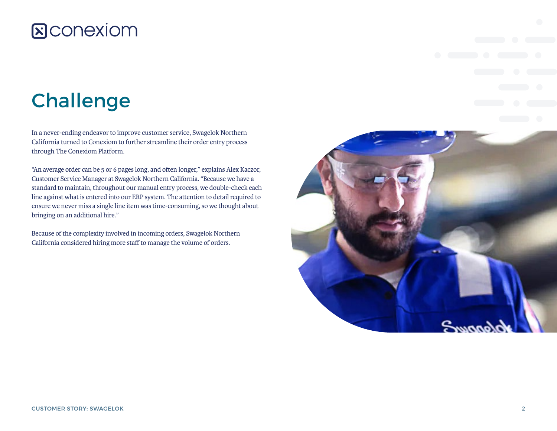## **&Conexiom**

# Challenge

In a never-ending endeavor to improve customer service, Swagelok Northern California turned to Conexiom to further streamline their order entry process through The Conexiom Platform.

"An average order can be 5 or 6 pages long, and often longer," explains Alex Kaczor, Customer Service Manager at Swagelok Northern California. "Because we have a standard to maintain, throughout our manual entry process, we double-check each line against what is entered into our ERP system. The attention to detail required to ensure we never miss a single line item was time-consuming, so we thought about bringing on an additional hire."

Because of the complexity involved in incoming orders, Swagelok Northern California considered hiring more staff to manage the volume of orders.

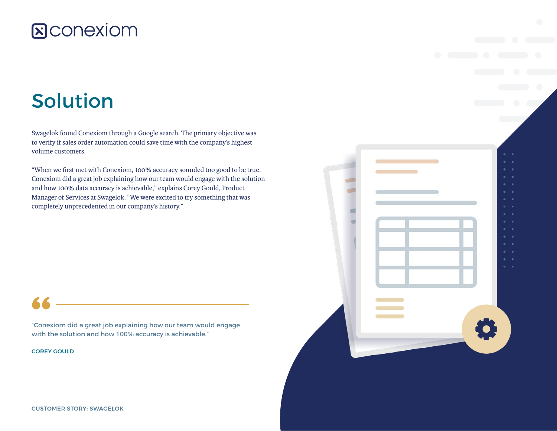## **&CONEXIOM**

# Solution

Swagelok found Conexiom through a Google search. The primary objective was to verify if sales order automation could save time with the company's highest volume customers.

"When we first met with Conexiom, 100% accuracy sounded too good to be true. Conexiom did a great job explaining how our team would engage with the solution and how 100% data accuracy is achievable," explains Corey Gould, Product Manager of Services at Swagelok. "We were excited to try something that was completely unprecedented in our company's history."

"Conexiom did a great job explaining how our team would engage with the solution and how 100% accuracy is achievable."

COREY GOULD

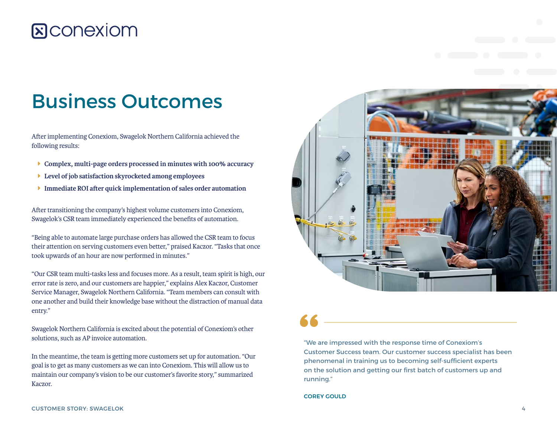## **E**CONEXIOM

# Business Outcomes

After implementing Conexiom, Swagelok Northern California achieved the following results:

- Î **Complex, multi-page orders processed in minutes with 100% accuracy**
- Î **Level of job satisfaction skyrocketed among employees**
- Î **Immediate ROI after quick implementation of sales order automation**

After transitioning the company's highest volume customers into Conexiom, Swagelok's CSR team immediately experienced the benefits of automation.

"Being able to automate large purchase orders has allowed the CSR team to focus their attention on serving customers even better," praised Kaczor. "Tasks that once took upwards of an hour are now performed in minutes."

"Our CSR team multi-tasks less and focuses more. As a result, team spirit is high, our error rate is zero, and our customers are happier," explains Alex Kaczor, Customer Service Manager, Swagelok Northern California. "Team members can consult with one another and build their knowledge base without the distraction of manual data entry."

Swagelok Northern California is excited about the potential of Conexiom's other solutions, such as AP invoice automation.

In the meantime, the team is getting more customers set up for automation. "Our goal is to get as many customers as we can into Conexiom. This will allow us to maintain our company's vision to be our customer's favorite story," summarized Kaczor.



"We are impressed with the response time of Conexiom's Customer Success team. Our customer success specialist has been phenomenal in training us to becoming self-sufficient experts on the solution and getting our first batch of customers up and running."

### COREY GOULD